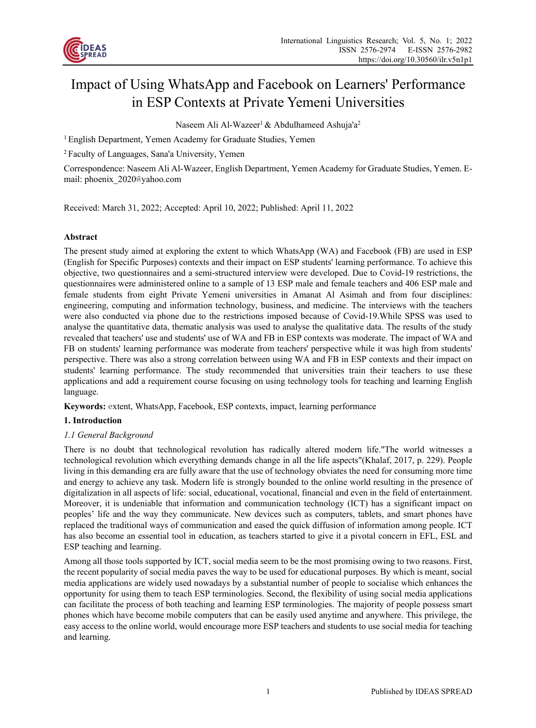

# Impact of Using WhatsApp and Facebook on Learners' Performance in ESP Contexts at Private Yemeni Universities

Naseem Ali Al-Wazeer<sup>1</sup> & Abdulhameed Ashuja'a<sup>2</sup>

<sup>1</sup> English Department, Yemen Academy for Graduate Studies, Yemen

2 Faculty of Languages, Sana'a University, Yemen

Correspondence: Naseem Ali Al-Wazeer, English Department, Yemen Academy for Graduate Studies, Yemen. Email: phoenix 2020@yahoo.com

Received: March 31, 2022; Accepted: April 10, 2022; Published: April 11, 2022

#### **Abstract**

The present study aimed at exploring the extent to which WhatsApp (WA) and Facebook (FB) are used in ESP (English for Specific Purposes) contexts and their impact on ESP students' learning performance. To achieve this objective, two questionnaires and a semi-structured interview were developed. Due to Covid-19 restrictions, the questionnaires were administered online to a sample of 13 ESP male and female teachers and 406 ESP male and female students from eight Private Yemeni universities in Amanat Al Asimah and from four disciplines: engineering, computing and information technology, business, and medicine. The interviews with the teachers were also conducted via phone due to the restrictions imposed because of Covid-19.While SPSS was used to analyse the quantitative data, thematic analysis was used to analyse the qualitative data. The results of the study revealed that teachers' use and students' use of WA and FB in ESP contexts was moderate. The impact of WA and FB on students' learning performance was moderate from teachers' perspective while it was high from students' perspective. There was also a strong correlation between using WA and FB in ESP contexts and their impact on students' learning performance. The study recommended that universities train their teachers to use these applications and add a requirement course focusing on using technology tools for teaching and learning English language.

**Keywords:** extent, WhatsApp, Facebook, ESP contexts, impact, learning performance

#### **1. Introduction**

#### *1.1 General Background*

There is no doubt that technological revolution has radically altered modern life."The world witnesses a technological revolution which everything demands change in all the life aspects"(Khalaf, 2017, p. 229). People living in this demanding era are fully aware that the use of technology obviates the need for consuming more time and energy to achieve any task. Modern life is strongly bounded to the online world resulting in the presence of digitalization in all aspects of life: social, educational, vocational, financial and even in the field of entertainment. Moreover, it is undeniable that information and communication technology (ICT) has a significant impact on peoples' life and the way they communicate. New devices such as computers, tablets, and smart phones have replaced the traditional ways of communication and eased the quick diffusion of information among people. ICT has also become an essential tool in education, as teachers started to give it a pivotal concern in EFL, ESL and ESP teaching and learning.

Among all those tools supported by ICT, social media seem to be the most promising owing to two reasons. First, the recent popularity of social media paves the way to be used for educational purposes. By which is meant, social media applications are widely used nowadays by a substantial number of people to socialise which enhances the opportunity for using them to teach ESP terminologies. Second, the flexibility of using social media applications can facilitate the process of both teaching and learning ESP terminologies. The majority of people possess smart phones which have become mobile computers that can be easily used anytime and anywhere. This privilege, the easy access to the online world, would encourage more ESP teachers and students to use social media for teaching and learning.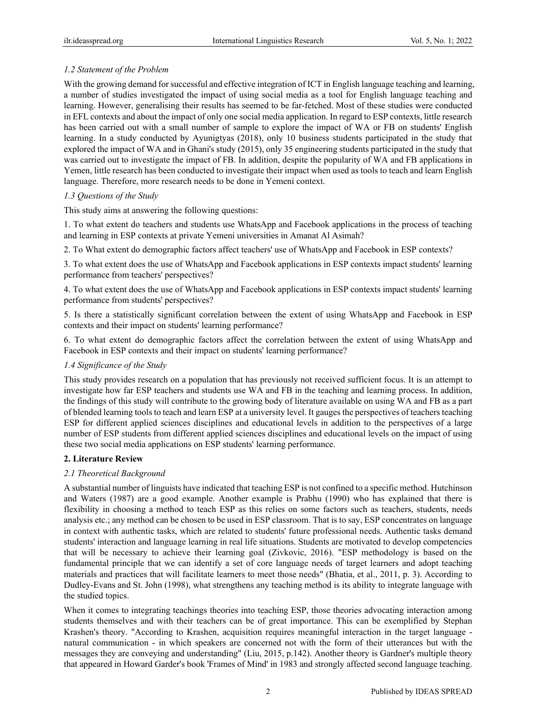### *1.2 Statement of the Problem*

With the growing demand for successful and effective integration of ICT in English language teaching and learning, a number of studies investigated the impact of using social media as a tool for English language teaching and learning. However, generalising their results has seemed to be far-fetched. Most of these studies were conducted in EFL contexts and about the impact of only one social media application. In regard to ESP contexts, little research has been carried out with a small number of sample to explore the impact of WA or FB on students' English learning. In a study conducted by Ayunigtyas (2018), only 10 business students participated in the study that explored the impact of WA and in Ghani's study (2015), only 35 engineering students participated in the study that was carried out to investigate the impact of FB. In addition, despite the popularity of WA and FB applications in Yemen, little research has been conducted to investigate their impact when used as tools to teach and learn English language. Therefore, more research needs to be done in Yemeni context.

#### *1.3 Questions of the Study*

This study aims at answering the following questions:

1. To what extent do teachers and students use WhatsApp and Facebook applications in the process of teaching and learning in ESP contexts at private Yemeni universities in Amanat Al Asimah?

2. To What extent do demographic factors affect teachers' use of WhatsApp and Facebook in ESP contexts?

3. To what extent does the use of WhatsApp and Facebook applications in ESP contexts impact students' learning performance from teachers' perspectives?

4. To what extent does the use of WhatsApp and Facebook applications in ESP contexts impact students' learning performance from students' perspectives?

5. Is there a statistically significant correlation between the extent of using WhatsApp and Facebook in ESP contexts and their impact on students' learning performance?

6. To what extent do demographic factors affect the correlation between the extent of using WhatsApp and Facebook in ESP contexts and their impact on students' learning performance?

#### *1.4 Significance of the Study*

This study provides research on a population that has previously not received sufficient focus. It is an attempt to investigate how far ESP teachers and students use WA and FB in the teaching and learning process. In addition, the findings of this study will contribute to the growing body of literature available on using WA and FB as a part of blended learning tools to teach and learn ESP at a university level. It gauges the perspectives of teachers teaching ESP for different applied sciences disciplines and educational levels in addition to the perspectives of a large number of ESP students from different applied sciences disciplines and educational levels on the impact of using these two social media applications on ESP students' learning performance.

#### **2. Literature Review**

#### *2.1 Theoretical Background*

A substantial number of linguists have indicated that teaching ESP is not confined to a specific method. Hutchinson and Waters (1987) are a good example. Another example is Prabhu (1990) who has explained that there is flexibility in choosing a method to teach ESP as this relies on some factors such as teachers, students, needs analysis etc.; any method can be chosen to be used in ESP classroom. That is to say, ESP concentrates on language in context with authentic tasks, which are related to students' future professional needs. Authentic tasks demand students' interaction and language learning in real life situations. Students are motivated to develop competencies that will be necessary to achieve their learning goal (Zivkovic, 2016). "ESP methodology is based on the fundamental principle that we can identify a set of core language needs of target learners and adopt teaching materials and practices that will facilitate learners to meet those needs" (Bhatia, et al., 2011, p. 3). According to Dudley-Evans and St. John (1998), what strengthens any teaching method is its ability to integrate language with the studied topics.

When it comes to integrating teachings theories into teaching ESP, those theories advocating interaction among students themselves and with their teachers can be of great importance. This can be exemplified by Stephan Krashen's theory. "According to Krashen, acquisition requires meaningful interaction in the target language natural communication - in which speakers are concerned not with the form of their utterances but with the messages they are conveying and understanding" (Liu, 2015, p.142). Another theory is Gardner's multiple theory that appeared in Howard Garder's book 'Frames of Mind' in 1983 and strongly affected second language teaching.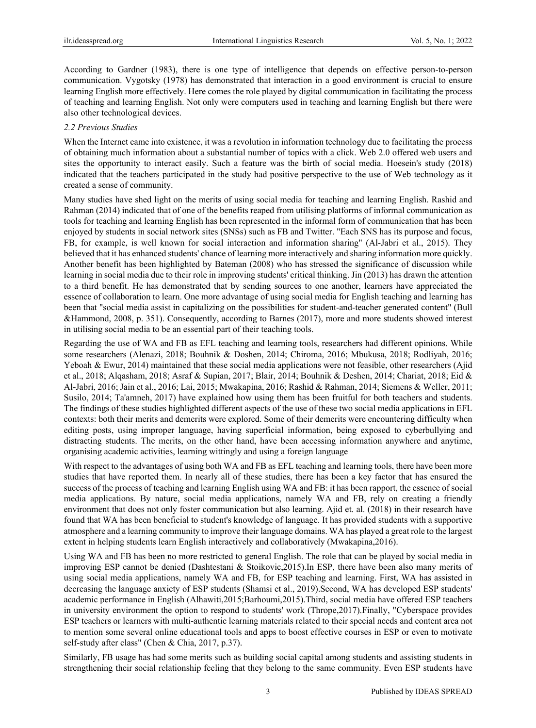According to Gardner (1983), there is one type of intelligence that depends on effective person-to-person communication. Vygotsky (1978) has demonstrated that interaction in a good environment is crucial to ensure learning English more effectively. Here comes the role played by digital communication in facilitating the process of teaching and learning English. Not only were computers used in teaching and learning English but there were also other technological devices.

#### *2.2 Previous Studies*

When the Internet came into existence, it was a revolution in information technology due to facilitating the process of obtaining much information about a substantial number of topics with a click. Web 2.0 offered web users and sites the opportunity to interact easily. Such a feature was the birth of social media. Hoesein's study (2018) indicated that the teachers participated in the study had positive perspective to the use of Web technology as it created a sense of community.

Many studies have shed light on the merits of using social media for teaching and learning English. Rashid and Rahman (2014) indicated that of one of the benefits reaped from utilising platforms of informal communication as tools for teaching and learning English has been represented in the informal form of communication that has been enjoyed by students in social network sites (SNSs) such as FB and Twitter. "Each SNS has its purpose and focus, FB, for example, is well known for social interaction and information sharing" (Al-Jabri et al., 2015). They believed that it has enhanced students' chance of learning more interactively and sharing information more quickly. Another benefit has been highlighted by Bateman (2008) who has stressed the significance of discussion while learning in social media due to their role in improving students' critical thinking. Jin (2013) has drawn the attention to a third benefit. He has demonstrated that by sending sources to one another, learners have appreciated the essence of collaboration to learn. One more advantage of using social media for English teaching and learning has been that "social media assist in capitalizing on the possibilities for student-and-teacher generated content" (Bull &Hammond, 2008, p. 351). Consequently, according to Barnes (2017), more and more students showed interest in utilising social media to be an essential part of their teaching tools.

Regarding the use of WA and FB as EFL teaching and learning tools, researchers had different opinions. While some researchers (Alenazi, 2018; Bouhnik & Doshen, 2014; Chiroma, 2016; Mbukusa, 2018; Rodliyah, 2016; Yeboah & Ewur, 2014) maintained that these social media applications were not feasible, other researchers (Ajid et al., 2018; Alqasham, 2018; Asraf & Supian, 2017; Blair, 2014; Bouhnik & Deshen, 2014; Chariat, 2018; Eid & Al-Jabri, 2016; Jain et al., 2016; Lai, 2015; Mwakapina, 2016; Rashid & Rahman, 2014; Siemens & Weller, 2011; Susilo, 2014; Ta'amneh, 2017) have explained how using them has been fruitful for both teachers and students. The findings of these studies highlighted different aspects of the use of these two social media applications in EFL contexts: both their merits and demerits were explored. Some of their demerits were encountering difficulty when editing posts, using improper language, having superficial information, being exposed to cyberbullying and distracting students. The merits, on the other hand, have been accessing information anywhere and anytime, organising academic activities, learning wittingly and using a foreign language

With respect to the advantages of using both WA and FB as EFL teaching and learning tools, there have been more studies that have reported them. In nearly all of these studies, there has been a key factor that has ensured the success of the process of teaching and learning English using WA and FB: it has been rapport, the essence of social media applications. By nature, social media applications, namely WA and FB, rely on creating a friendly environment that does not only foster communication but also learning. Ajid et. al. (2018) in their research have found that WA has been beneficial to student's knowledge of language. It has provided students with a supportive atmosphere and a learning community to improve their language domains. WA has played a great role to the largest extent in helping students learn English interactively and collaboratively (Mwakapina,2016).

Using WA and FB has been no more restricted to general English. The role that can be played by social media in improving ESP cannot be denied (Dashtestani & Stoikovic,2015).In ESP, there have been also many merits of using social media applications, namely WA and FB, for ESP teaching and learning. First, WA has assisted in decreasing the language anxiety of ESP students (Shamsi et al., 2019).Second, WA has developed ESP students' academic performance in English (Alhawiti,2015;Barhoumi,2015).Third, social media have offered ESP teachers in university environment the option to respond to students' work (Thrope,2017).Finally, "Cyberspace provides ESP teachers or learners with multi-authentic learning materials related to their special needs and content area not to mention some several online educational tools and apps to boost effective courses in ESP or even to motivate self-study after class" (Chen & Chia, 2017, p.37).

Similarly, FB usage has had some merits such as building social capital among students and assisting students in strengthening their social relationship feeling that they belong to the same community. Even ESP students have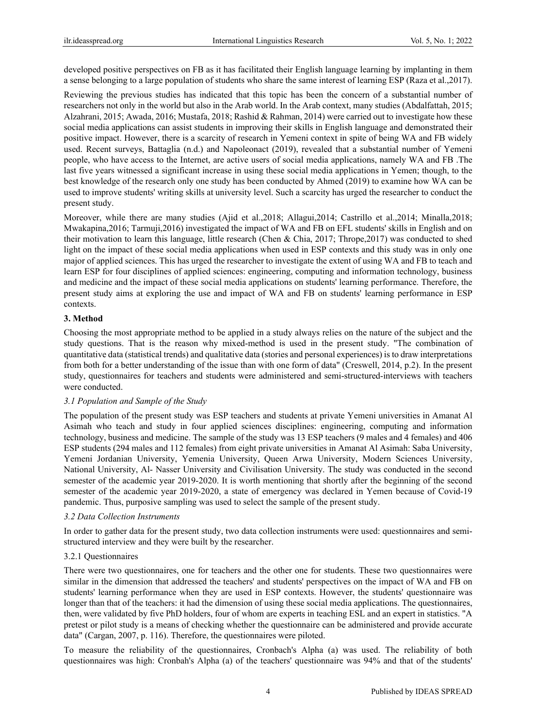developed positive perspectives on FB as it has facilitated their English language learning by implanting in them a sense belonging to a large population of students who share the same interest of learning ESP (Raza et al.,2017).

Reviewing the previous studies has indicated that this topic has been the concern of a substantial number of researchers not only in the world but also in the Arab world. In the Arab context, many studies (Abdalfattah, 2015; Alzahrani, 2015; Awada, 2016; Mustafa, 2018; Rashid & Rahman, 2014) were carried out to investigate how these social media applications can assist students in improving their skills in English language and demonstrated their positive impact. However, there is a scarcity of research in Yemeni context in spite of being WA and FB widely used. Recent surveys, Battaglia (n.d.) and Napoleonact (2019), revealed that a substantial number of Yemeni people, who have access to the Internet, are active users of social media applications, namely WA and FB .The last five years witnessed a significant increase in using these social media applications in Yemen; though, to the best knowledge of the research only one study has been conducted by Ahmed (2019) to examine how WA can be used to improve students' writing skills at university level. Such a scarcity has urged the researcher to conduct the present study.

Moreover, while there are many studies (Ajid et al.,2018; Allagui,2014; Castrillo et al.,2014; Minalla,2018; Mwakapina,2016; Tarmuji,2016) investigated the impact of WA and FB on EFL students' skills in English and on their motivation to learn this language, little research (Chen & Chia, 2017; Thrope,2017) was conducted to shed light on the impact of these social media applications when used in ESP contexts and this study was in only one major of applied sciences. This has urged the researcher to investigate the extent of using WA and FB to teach and learn ESP for four disciplines of applied sciences: engineering, computing and information technology, business and medicine and the impact of these social media applications on students' learning performance. Therefore, the present study aims at exploring the use and impact of WA and FB on students' learning performance in ESP contexts.

#### **3. Method**

Choosing the most appropriate method to be applied in a study always relies on the nature of the subject and the study questions. That is the reason why mixed-method is used in the present study. "The combination of quantitative data (statistical trends) and qualitative data (stories and personal experiences) is to draw interpretations from both for a better understanding of the issue than with one form of data" (Creswell, 2014, p.2). In the present study, questionnaires for teachers and students were administered and semi-structured-interviews with teachers were conducted.

#### *3.1 Population and Sample of the Study*

The population of the present study was ESP teachers and students at private Yemeni universities in Amanat Al Asimah who teach and study in four applied sciences disciplines: engineering, computing and information technology, business and medicine. The sample of the study was 13 ESP teachers (9 males and 4 females) and 406 ESP students (294 males and 112 females) from eight private universities in Amanat Al Asimah: Saba University, Yemeni Jordanian University, Yemenia University, Queen Arwa University, Modern Sciences University, National University, Al- Nasser University and Civilisation University. The study was conducted in the second semester of the academic year 2019-2020. It is worth mentioning that shortly after the beginning of the second semester of the academic year 2019-2020, a state of emergency was declared in Yemen because of Covid-19 pandemic. Thus, purposive sampling was used to select the sample of the present study.

#### *3.2 Data Collection Instruments*

In order to gather data for the present study, two data collection instruments were used: questionnaires and semistructured interview and they were built by the researcher.

#### 3.2.1 Questionnaires

There were two questionnaires, one for teachers and the other one for students. These two questionnaires were similar in the dimension that addressed the teachers' and students' perspectives on the impact of WA and FB on students' learning performance when they are used in ESP contexts. However, the students' questionnaire was longer than that of the teachers: it had the dimension of using these social media applications. The questionnaires, then, were validated by five PhD holders, four of whom are experts in teaching ESL and an expert in statistics. "A pretest or pilot study is a means of checking whether the questionnaire can be administered and provide accurate data" (Cargan, 2007, p. 116). Therefore, the questionnaires were piloted.

To measure the reliability of the questionnaires, Cronbach's Alpha (a) was used. The reliability of both questionnaires was high: Cronbah's Alpha (a) of the teachers' questionnaire was 94% and that of the students'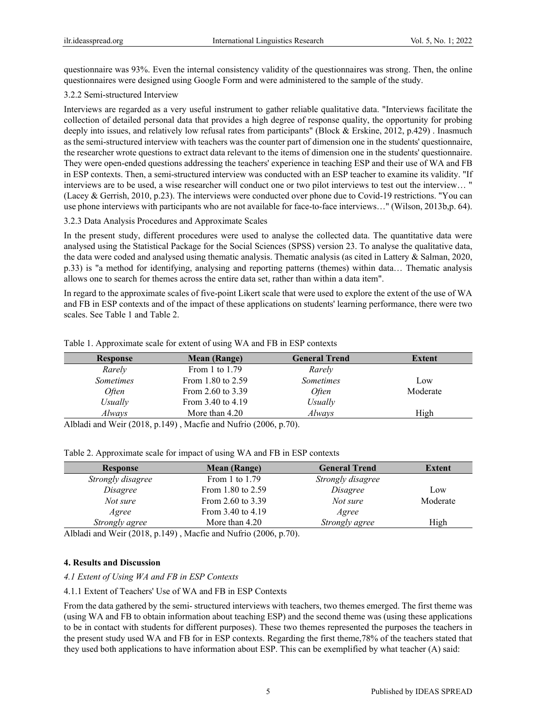questionnaire was 93%. Even the internal consistency validity of the questionnaires was strong. Then, the online questionnaires were designed using Google Form and were administered to the sample of the study.

#### 3.2.2 Semi-structured Interview

Interviews are regarded as a very useful instrument to gather reliable qualitative data. "Interviews facilitate the collection of detailed personal data that provides a high degree of response quality, the opportunity for probing deeply into issues, and relatively low refusal rates from participants" (Block & Erskine, 2012, p.429) . Inasmuch as the semi-structured interview with teachers was the counter part of dimension one in the students' questionnaire, the researcher wrote questions to extract data relevant to the items of dimension one in the students' questionnaire. They were open-ended questions addressing the teachers' experience in teaching ESP and their use of WA and FB in ESP contexts. Then, a semi-structured interview was conducted with an ESP teacher to examine its validity. "If interviews are to be used, a wise researcher will conduct one or two pilot interviews to test out the interview… " (Lacey & Gerrish, 2010, p.23). The interviews were conducted over phone due to Covid-19 restrictions. "You can use phone interviews with participants who are not available for face-to-face interviews…" (Wilson, 2013b,p. 64).

#### 3.2.3 Data Analysis Procedures and Approximate Scales

In the present study, different procedures were used to analyse the collected data. The quantitative data were analysed using the Statistical Package for the Social Sciences (SPSS) version 23. To analyse the qualitative data, the data were coded and analysed using thematic analysis. Thematic analysis (as cited in Lattery & Salman, 2020, p.33) is "a method for identifying, analysing and reporting patterns (themes) within data… Thematic analysis allows one to search for themes across the entire data set, rather than within a data item".

In regard to the approximate scales of five-point Likert scale that were used to explore the extent of the use of WA and FB in ESP contexts and of the impact of these applications on students' learning performance, there were two scales. See Table 1 and Table 2.

| <b>Response</b>             | <b>Mean</b> (Range)                         | <b>General Trend</b> | Extent   |
|-----------------------------|---------------------------------------------|----------------------|----------|
| Rarely                      | From 1 to $1.79$                            | Rarely               |          |
| <b>Sometimes</b>            | From 1.80 to $2.59$                         | <b>Sometimes</b>     | Low      |
| <i>Often</i>                | From 2.60 to 3.39                           | <i>Often</i>         | Moderate |
| <i>Usually</i>              | From 3.40 to 4.19                           | Usually              |          |
| Always                      | More than 4.20                              | Always               | High     |
| $11117 + 70010$<br>11111111 | $1.7.7 \cdot 0.7$<br>(0.000)<br>$1101 \t N$ | $\sim$               |          |

#### Table 1. Approximate scale for extent of using WA and FB in ESP contexts

Albladi and Weir (2018, p.149) , Macfie and Nufrio (2006, p.70).

| Table 2. Approximate scale for impact of using WA and FB in ESP contexts |  |  |  |  |
|--------------------------------------------------------------------------|--|--|--|--|
|                                                                          |  |  |  |  |

| <b>Mean (Range)</b> | <b>General Trend</b> | Extent   |
|---------------------|----------------------|----------|
| From 1 to $1.79$    | Strongly disagree    |          |
| From 1.80 to 2.59   | Disagree             | Low      |
| From 2.60 to 3.39   | Not sure             | Moderate |
| From 3.40 to 4.19   | Agree                |          |
| More than 4.20      | Strongly agree       | High     |
|                     |                      |          |

Albladi and Weir (2018, p.149) , Macfie and Nufrio (2006, p.70).

#### **4. Results and Discussion**

#### *4.1 Extent of Using WA and FB in ESP Contexts*

4.1.1 Extent of Teachers' Use of WA and FB in ESP Contexts

From the data gathered by the semi- structured interviews with teachers, two themes emerged. The first theme was (using WA and FB to obtain information about teaching ESP) and the second theme was (using these applications to be in contact with students for different purposes). These two themes represented the purposes the teachers in the present study used WA and FB for in ESP contexts. Regarding the first theme,78% of the teachers stated that they used both applications to have information about ESP. This can be exemplified by what teacher (A) said: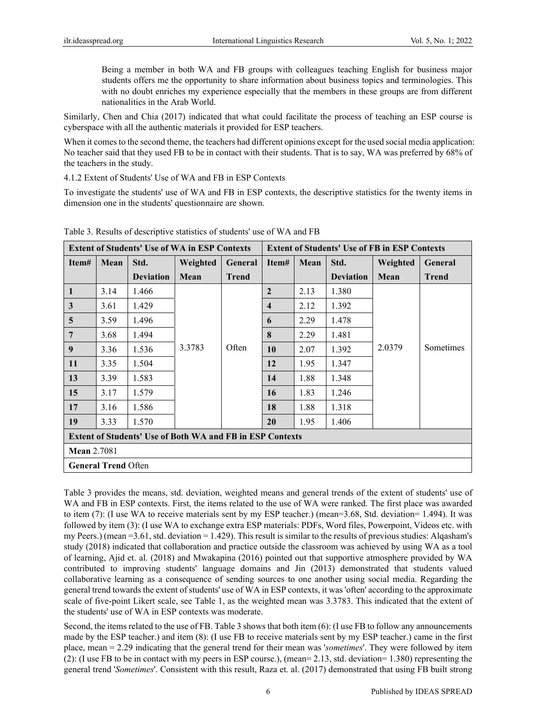Being a member in both WA and FB groups with colleagues teaching English for business major students offers me the opportunity to share information about business topics and terminologies. This with no doubt enriches my experience especially that the members in these groups are from different nationalities in the Arab World.

Similarly, Chen and Chia (2017) indicated that what could facilitate the process of teaching an ESP course is cyberspace with all the authentic materials it provided for ESP teachers.

When it comes to the second theme, the teachers had different opinions except for the used social media application: No teacher said that they used FB to be in contact with their students. That is to say, WA was preferred by 68% of the teachers in the study.

4.1.2 Extent of Students' Use of WA and FB in ESP Contexts

To investigate the students' use of WA and FB in ESP contexts, the descriptive statistics for the twenty items in dimension one in the students' questionnaire are shown.

| <b>Extent of Students' Use of WA in ESP Contexts</b>             |                            |                  | <b>Extent of Students' Use of FB in ESP Contexts</b> |              |                         |      |                  |          |                |
|------------------------------------------------------------------|----------------------------|------------------|------------------------------------------------------|--------------|-------------------------|------|------------------|----------|----------------|
| Item#                                                            | Mean                       | Std.             | Weighted                                             | General      | Item#                   | Mean | Std.             | Weighted | <b>General</b> |
|                                                                  |                            | <b>Deviation</b> | Mean                                                 | <b>Trend</b> |                         |      | <b>Deviation</b> | Mean     | Trend          |
| 1                                                                | 3.14                       | 1.466            |                                                      |              | $\overline{2}$          | 2.13 | 1.380            |          |                |
| 3                                                                | 3.61                       | 1.429            |                                                      |              | $\overline{\mathbf{4}}$ | 2.12 | 1.392            |          |                |
| $5\phantom{.0}$                                                  | 3.59                       | 1.496            |                                                      |              | 6                       | 2.29 | 1.478            |          |                |
| 7                                                                | 3.68                       | 1.494            |                                                      |              | 8                       | 2.29 | 1.481            |          |                |
| 9                                                                | 3.36                       | 1.536            | 3.3783                                               | Often        | 10                      | 2.07 | 1.392            | 2.0379   | Sometimes      |
| 11                                                               | 3.35                       | 1.504            |                                                      |              | 12                      | 1.95 | 1.347            |          |                |
| 13                                                               | 3.39                       | 1.583            |                                                      |              | 14                      | 1.88 | 1.348            |          |                |
| 15                                                               | 3.17                       | 1.579            |                                                      |              | 16                      | 1.83 | 1.246            |          |                |
| 17                                                               | 3.16                       | 1.586            |                                                      |              | 18                      | 1.88 | 1.318            |          |                |
| 19                                                               | 3.33                       | 1.570            |                                                      |              | 20                      | 1.95 | 1.406            |          |                |
| <b>Extent of Students' Use of Both WA and FB in ESP Contexts</b> |                            |                  |                                                      |              |                         |      |                  |          |                |
| <b>Mean</b> 2.7081                                               |                            |                  |                                                      |              |                         |      |                  |          |                |
|                                                                  | <b>General Trend Often</b> |                  |                                                      |              |                         |      |                  |          |                |

Table 3. Results of descriptive statistics of students' use of WA and FB

Table 3 provides the means, std. deviation, weighted means and general trends of the extent of students' use of WA and FB in ESP contexts. First, the items related to the use of WA were ranked. The first place was awarded to item (7): (I use WA to receive materials sent by my ESP teacher.) (mean=3.68, Std. deviation= 1.494). It was followed by item (3): (I use WA to exchange extra ESP materials: PDFs, Word files, Powerpoint, Videos etc. with my Peers.) (mean  $=3.61$ , std. deviation  $=1.429$ ). This result is similar to the results of previous studies: Algasham's study (2018) indicated that collaboration and practice outside the classroom was achieved by using WA as a tool of learning, Ajid et. al. (2018) and Mwakapina (2016) pointed out that supportive atmosphere provided by WA contributed to improving students' language domains and Jin (2013) demonstrated that students valued collaborative learning as a consequence of sending sources to one another using social media. Regarding the general trend towards the extent of students' use of WA in ESP contexts, it was 'often' according to the approximate scale of five-point Likert scale, see Table 1, as the weighted mean was 3.3783. This indicated that the extent of the students' use of WA in ESP contexts was moderate.

Second, the items related to the use of FB. Table 3 shows that both item (6): (I use FB to follow any announcements made by the ESP teacher.) and item (8): (I use FB to receive materials sent by my ESP teacher.) came in the first place, mean = 2.29 indicating that the general trend for their mean was '*sometimes*'. They were followed by item (2): (I use FB to be in contact with my peers in ESP course.), (mean= 2.13, std. deviation= 1.380) representing the general trend '*Sometimes*'. Consistent with this result, Raza et. al. (2017) demonstrated that using FB built strong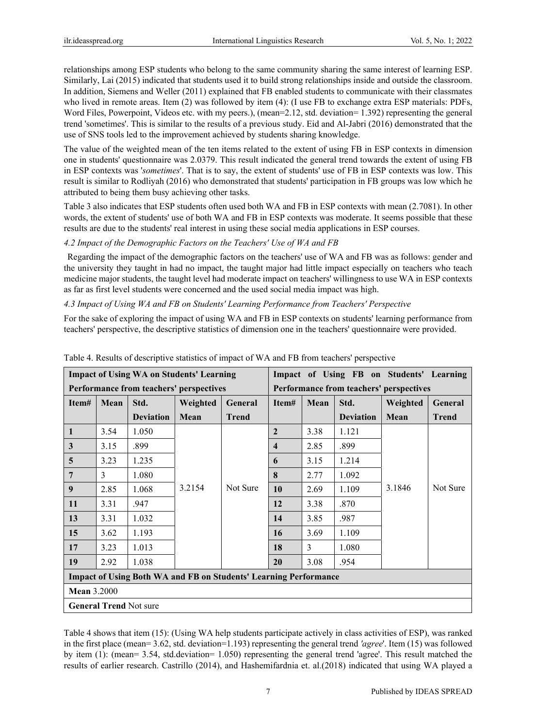relationships among ESP students who belong to the same community sharing the same interest of learning ESP. Similarly, Lai (2015) indicated that students used it to build strong relationships inside and outside the classroom. In addition, Siemens and Weller (2011) explained that FB enabled students to communicate with their classmates who lived in remote areas. Item (2) was followed by item (4): (I use FB to exchange extra ESP materials: PDFs, Word Files, Powerpoint, Videos etc. with my peers.), (mean=2.12, std. deviation= 1.392) representing the general trend 'sometimes'. This is similar to the results of a previous study. Eid and Al-Jabri (2016) demonstrated that the use of SNS tools led to the improvement achieved by students sharing knowledge.

The value of the weighted mean of the ten items related to the extent of using FB in ESP contexts in dimension one in students' questionnaire was 2.0379. This result indicated the general trend towards the extent of using FB in ESP contexts was '*sometimes*'. That is to say, the extent of students' use of FB in ESP contexts was low. This result is similar to Rodliyah (2016) who demonstrated that students' participation in FB groups was low which he attributed to being them busy achieving other tasks.

Table 3 also indicates that ESP students often used both WA and FB in ESP contexts with mean (2.7081). In other words, the extent of students' use of both WA and FB in ESP contexts was moderate. It seems possible that these results are due to the students' real interest in using these social media applications in ESP courses.

#### *4.2 Impact of the Demographic Factors on the Teachers' Use of WA and FB*

 Regarding the impact of the demographic factors on the teachers' use of WA and FB was as follows: gender and the university they taught in had no impact, the taught major had little impact especially on teachers who teach medicine major students, the taught level had moderate impact on teachers' willingness to use WA in ESP contexts as far as first level students were concerned and the used social media impact was high.

#### *4.3 Impact of Using WA and FB on Students' Learning Performance from Teachers' Perspective*

For the sake of exploring the impact of using WA and FB in ESP contexts on students' learning performance from teachers' perspective, the descriptive statistics of dimension one in the teachers' questionnaire were provided.

|                  | <b>Impact of Using WA on Students' Learning</b>                         |                  |          |                |                                         |                |                  | Impact of Using FB on Students' Learning |                |
|------------------|-------------------------------------------------------------------------|------------------|----------|----------------|-----------------------------------------|----------------|------------------|------------------------------------------|----------------|
|                  | Performance from teachers' perspectives                                 |                  |          |                | Performance from teachers' perspectives |                |                  |                                          |                |
| Item#            | Mean                                                                    | Std.             | Weighted | <b>General</b> | Item#                                   | Mean           | Std.             | Weighted                                 | <b>General</b> |
|                  |                                                                         | <b>Deviation</b> | Mean     | <b>Trend</b>   |                                         |                | <b>Deviation</b> | Mean                                     | <b>Trend</b>   |
| 1                | 3.54                                                                    | 1.050            |          |                | $\overline{2}$                          | 3.38           | 1.121            |                                          |                |
| 3                | 3.15                                                                    | .899             |          |                | $\overline{\mathbf{4}}$                 | 2.85           | .899             |                                          |                |
| 5                | 3.23                                                                    | 1.235            |          |                | 6                                       | 3.15           | 1.214            |                                          |                |
| 7                | 3                                                                       | 1.080            |          |                | 8                                       | 2.77           | 1.092            |                                          |                |
| $\boldsymbol{9}$ | 2.85                                                                    | 1.068            | 3.2154   | Not Sure       | 10                                      | 2.69           | 1.109            | 3.1846                                   | Not Sure       |
| 11               | 3.31                                                                    | .947             |          |                | 12                                      | 3.38           | .870             |                                          |                |
| 13               | 3.31                                                                    | 1.032            |          |                | 14                                      | 3.85           | .987             |                                          |                |
| 15               | 3.62                                                                    | 1.193            |          |                | 16                                      | 3.69           | 1.109            |                                          |                |
| 17               | 3.23                                                                    | 1.013            |          |                | 18                                      | $\overline{3}$ | 1.080            |                                          |                |
| 19               | 2.92                                                                    | 1.038            |          |                | 20                                      | 3.08           | .954             |                                          |                |
|                  | <b>Impact of Using Both WA and FB on Students' Learning Performance</b> |                  |          |                |                                         |                |                  |                                          |                |
|                  | <b>Mean 3.2000</b>                                                      |                  |          |                |                                         |                |                  |                                          |                |
|                  | <b>General Trend Not sure</b>                                           |                  |          |                |                                         |                |                  |                                          |                |

Table 4. Results of descriptive statistics of impact of WA and FB from teachers' perspective

Table 4 shows that item (15): (Using WA help students participate actively in class activities of ESP), was ranked in the first place (mean= 3.62, std. deviation=1.193) representing the general trend *'agree*'. Item (15) was followed by item (1): (mean= 3.54, std.deviation= 1.050) representing the general trend 'agree'. This result matched the results of earlier research. Castrillo (2014), and Hashemifardnia et. al.(2018) indicated that using WA played a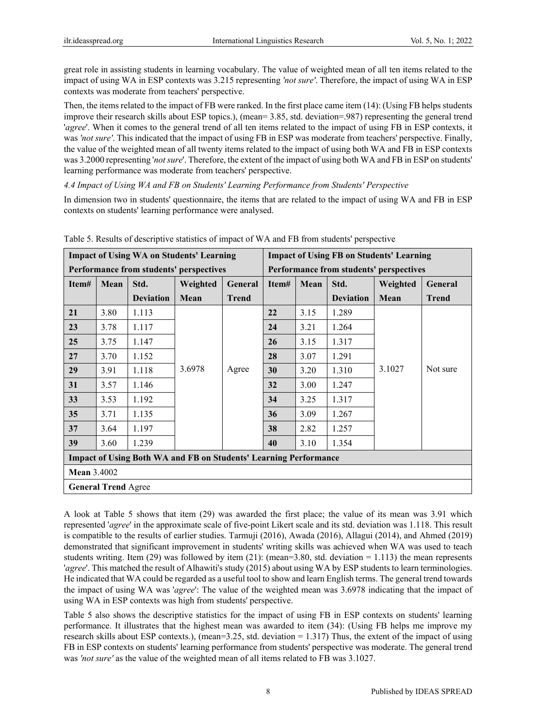great role in assisting students in learning vocabulary. The value of weighted mean of all ten items related to the impact of using WA in ESP contexts was 3.215 representing *'not sure'*. Therefore, the impact of using WA in ESP contexts was moderate from teachers' perspective.

Then, the items related to the impact of FB were ranked. In the first place came item (14): (Using FB helps students improve their research skills about ESP topics.), (mean= 3.85, std. deviation=.987) representing the general trend '*agree*'. When it comes to the general trend of all ten items related to the impact of using FB in ESP contexts, it was *'not sure'*. This indicated that the impact of using FB in ESP was moderate from teachers' perspective. Finally, the value of the weighted mean of all twenty items related to the impact of using both WA and FB in ESP contexts was 3.2000 representing '*not sure*'. Therefore, the extent of the impact of using both WA and FB in ESP on students' learning performance was moderate from teachers' perspective.

*4.4 Impact of Using WA and FB on Students' Learning Performance from Students' Perspective* 

In dimension two in students' questionnaire, the items that are related to the impact of using WA and FB in ESP contexts on students' learning performance were analysed.

| <b>Impact of Using WA on Students' Learning</b>                         |                                         |                  |          |              | <b>Impact of Using FB on Students' Learning</b> |                                         |                  |          |              |  |
|-------------------------------------------------------------------------|-----------------------------------------|------------------|----------|--------------|-------------------------------------------------|-----------------------------------------|------------------|----------|--------------|--|
|                                                                         | Performance from students' perspectives |                  |          |              |                                                 | Performance from students' perspectives |                  |          |              |  |
| Item#                                                                   | Mean                                    | Std.             | Weighted | General      | Item#                                           | Mean                                    | Std.             | Weighted | General      |  |
|                                                                         |                                         | <b>Deviation</b> | Mean     | <b>Trend</b> |                                                 |                                         | <b>Deviation</b> | Mean     | <b>Trend</b> |  |
| 21                                                                      | 3.80                                    | 1.113            |          |              | 22                                              | 3.15                                    | 1.289            |          |              |  |
| 23                                                                      | 3.78                                    | 1.117            |          |              | 24                                              | 3.21                                    | 1.264            |          |              |  |
| 25                                                                      | 3.75                                    | 1.147            |          |              | <b>26</b>                                       | 3.15                                    | 1.317            |          |              |  |
| 27                                                                      | 3.70                                    | 1.152            |          |              | 28                                              | 3.07                                    | 1.291            |          |              |  |
| 29                                                                      | 3.91                                    | 1.118            | 3.6978   | Agree        | 30                                              | 3.20                                    | 1.310            | 3.1027   | Not sure     |  |
| 31                                                                      | 3.57                                    | 1.146            |          |              | 32                                              | 3.00                                    | 1.247            |          |              |  |
| 33                                                                      | 3.53                                    | 1.192            |          |              | 34                                              | 3.25                                    | 1.317            |          |              |  |
| 35                                                                      | 3.71                                    | 1.135            |          |              | 36                                              | 3.09                                    | 1.267            |          |              |  |
| 37                                                                      | 3.64                                    | 1.197            |          |              | 38                                              | 2.82                                    | 1.257            |          |              |  |
| 39                                                                      | 3.60                                    | 1.239            |          |              | 40                                              | 3.10                                    | 1.354            |          |              |  |
| <b>Impact of Using Both WA and FB on Students' Learning Performance</b> |                                         |                  |          |              |                                                 |                                         |                  |          |              |  |
|                                                                         | <b>Mean 3.4002</b>                      |                  |          |              |                                                 |                                         |                  |          |              |  |
|                                                                         | <b>General Trend Agree</b>              |                  |          |              |                                                 |                                         |                  |          |              |  |

Table 5. Results of descriptive statistics of impact of WA and FB from students' perspective

A look at Table 5 shows that item (29) was awarded the first place; the value of its mean was 3.91 which represented '*agree*' in the approximate scale of five-point Likert scale and its std. deviation was 1.118. This result is compatible to the results of earlier studies. Tarmuji (2016), Awada (2016), Allagui (2014), and Ahmed (2019) demonstrated that significant improvement in students' writing skills was achieved when WA was used to teach students writing. Item (29) was followed by item (21): (mean=3.80, std. deviation = 1.113) the mean represents '*agree*'. This matched the result of Alhawiti's study (2015) about using WA by ESP students to learn terminologies. He indicated that WA could be regarded as a useful tool to show and learn English terms. The general trend towards the impact of using WA was '*agree*': The value of the weighted mean was 3.6978 indicating that the impact of using WA in ESP contexts was high from students' perspective.

Table 5 also shows the descriptive statistics for the impact of using FB in ESP contexts on students' learning performance. It illustrates that the highest mean was awarded to item (34): (Using FB helps me improve my research skills about ESP contexts.), (mean=3.25, std. deviation = 1.317) Thus, the extent of the impact of using FB in ESP contexts on students' learning performance from students' perspective was moderate. The general trend was *'not sure'* as the value of the weighted mean of all items related to FB was 3.1027.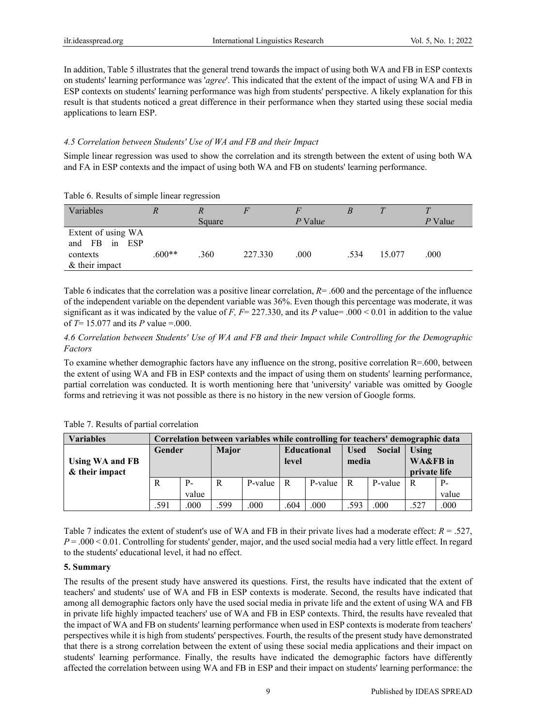In addition, Table 5 illustrates that the general trend towards the impact of using both WA and FB in ESP contexts on students' learning performance was '*agree*'. This indicated that the extent of the impact of using WA and FB in ESP contexts on students' learning performance was high from students' perspective. A likely explanation for this result is that students noticed a great difference in their performance when they started using these social media applications to learn ESP.

#### *4.5 Correlation between Students' Use of WA and FB and their Impact*

Simple linear regression was used to show the correlation and its strength between the extent of using both WA and FA in ESP contexts and the impact of using both WA and FB on students' learning performance.

| Variables                                                              |          | Square |         | P Value |      |        | P Value |
|------------------------------------------------------------------------|----------|--------|---------|---------|------|--------|---------|
| Extent of using WA<br>in ESP<br>and FB<br>contexts<br>$&$ their impact | $.600**$ | .360   | 227.330 | .000    | .534 | 15.077 | .000    |

Table 6. Results of simple linear regression

Table 6 indicates that the correlation was a positive linear correlation,  $R = .600$  and the percentage of the influence of the independent variable on the dependent variable was 36%. Even though this percentage was moderate, it was significant as it was indicated by the value of *F, F*= 227.330, and its *P* value= .000 < 0.01 in addition to the value of *T*= 15.077 and its *P* value =.000.

#### *4.6 Correlation between Students' Use of WA and FB and their Impact while Controlling for the Demographic Factors*

To examine whether demographic factors have any influence on the strong, positive correlation R=.600, between the extent of using WA and FB in ESP contexts and the impact of using them on students' learning performance, partial correlation was conducted. It is worth mentioning here that 'university' variable was omitted by Google forms and retrieving it was not possible as there is no history in the new version of Google forms.

| <b>Variables</b>       |        | Correlation between variables while controlling for teachers' demographic data |              |             |                    |                  |             |               |                     |       |
|------------------------|--------|--------------------------------------------------------------------------------|--------------|-------------|--------------------|------------------|-------------|---------------|---------------------|-------|
|                        | Gender |                                                                                | <b>Major</b> |             | <b>Educational</b> |                  | <b>Used</b> | <b>Social</b> | Using               |       |
| <b>Using WA and FB</b> |        |                                                                                |              |             | level              |                  | media       |               | <b>WA&amp;FB</b> in |       |
| & their impact         |        |                                                                                |              |             |                    |                  |             |               | private life        |       |
|                        | R      | $P -$                                                                          | R            | $P-value$ R |                    | $P-value \mid R$ |             | P-value       | R                   | $P-$  |
|                        |        | value                                                                          |              |             |                    |                  |             |               |                     | value |
|                        | .591   | .000                                                                           | .599         | .000        | .604               | .000             | .593        | .000          | .527                | .000  |

Table 7. Results of partial correlation

Table 7 indicates the extent of student's use of WA and FB in their private lives had a moderate effect: *R* = .527, *P* = .000 < 0.01. Controlling for students' gender, major, and the used social media had a very little effect. In regard to the students' educational level, it had no effect.

# **5. Summary**

The results of the present study have answered its questions. First, the results have indicated that the extent of teachers' and students' use of WA and FB in ESP contexts is moderate. Second, the results have indicated that among all demographic factors only have the used social media in private life and the extent of using WA and FB in private life highly impacted teachers' use of WA and FB in ESP contexts. Third, the results have revealed that the impact of WA and FB on students' learning performance when used in ESP contexts is moderate from teachers' perspectives while it is high from students' perspectives. Fourth, the results of the present study have demonstrated that there is a strong correlation between the extent of using these social media applications and their impact on students' learning performance. Finally, the results have indicated the demographic factors have differently affected the correlation between using WA and FB in ESP and their impact on students' learning performance: the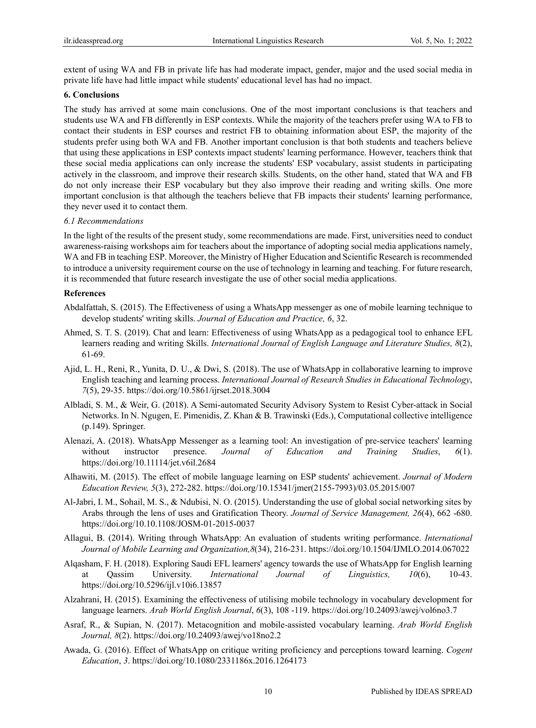extent of using WA and FB in private life has had moderate impact, gender, major and the used social media in private life have had little impact while students' educational level has had no impact.

#### **6. Conclusions**

The study has arrived at some main conclusions. One of the most important conclusions is that teachers and students use WA and FB differently in ESP contexts. While the majority of the teachers prefer using WA to FB to contact their students in ESP courses and restrict FB to obtaining information about ESP, the majority of the students prefer using both WA and FB. Another important conclusion is that both students and teachers believe that using these applications in ESP contexts impact students' learning performance. However, teachers think that these social media applications can only increase the students' ESP vocabulary, assist students in participating actively in the classroom, and improve their research skills. Students, on the other hand, stated that WA and FB do not only increase their ESP vocabulary but they also improve their reading and writing skills. One more important conclusion is that although the teachers believe that FB impacts their students' learning performance, they never used it to contact them.

#### *6.1 Recommendations*

In the light of the results of the present study, some recommendations are made. First, universities need to conduct awareness-raising workshops aim for teachers about the importance of adopting social media applications namely, WA and FB in teaching ESP. Moreover, the Ministry of Higher Education and Scientific Research is recommended to introduce a university requirement course on the use of technology in learning and teaching. For future research, it is recommended that future research investigate the use of other social media applications.

#### **References**

- Abdalfattah, S. (2015). The Effectiveness of using a WhatsApp messenger as one of mobile learning technique to develop students' writing skills. *Journal of Education and Practice, 6*, 32.
- Ahmed, S. T. S. (2019). Chat and learn: Effectiveness of using WhatsApp as a pedagogical tool to enhance EFL learners reading and writing Skills. *International Journal of English Language and Literature Studies, 8*(2), 61-69.
- Ajid, L. H., Reni, R., Yunita, D. U., & Dwi, S. (2018). The use of WhatsApp in collaborative learning to improve English teaching and learning process. *International Journal of Research Studies in Educational Technology*, *7*(5), 29-35. https://doi.org/10.5861/ijrset.2018.3004
- Albladi, S. M., & Weir, G. (2018). A Semi-automated Security Advisory System to Resist Cyber-attack in Social Networks. In N. Ngugen, E. Pimenidis, Z. Khan & B. Trawinski (Eds.), Computational collective intelligence (p.149). Springer.
- Alenazi, A. (2018). WhatsApp Messenger as a learning tool: An investigation of pre-service teachers' learning without instructor presence. *Journal of Education and Training Studies*, *6*(1). https://doi.org/10.11114/jet.v6il.2684
- Alhawiti, M. (2015). The effect of mobile language learning on ESP students' achievement. *Journal of Modern Education Review, 5*(3), 272-282. https://doi.org/10.15341/jmer(2155-7993)/03.05.2015/007
- Al-Jabri, I. M., Sohail, M. S., & Ndubisi, N. O. (2015). Understanding the use of global social networking sites by Arabs through the lens of uses and Gratification Theory. *Journal of Service Management, 26*(4), 662 -680. https://doi.org/10.10.1108/JOSM-01-2015-0037
- Allagui, B. (2014). Writing through WhatsApp: An evaluation of students writing performance. *International Journal of Mobile Learning and Organization,8*(34), 216-231. https://doi.org/10.1504/IJMLO.2014.067022
- Alqasham, F. H. (2018). Exploring Saudi EFL learners' agency towards the use of WhatsApp for English learning Qassim University. *International Journal of Linguistics*, 10(6), 10-43. https://doi.org/10.5296/ijl.v10i6.13857
- Alzahrani, H. (2015). Examining the effectiveness of utilising mobile technology in vocabulary development for language learners. *Arab World English Journal*, *6*(3), 108 -119. https://doi.org/10.24093/awej/vol6no3.7
- Asraf, R., & Supian, N. (2017). Metacognition and mobile-assisted vocabulary learning. *Arab World English Journal, 8*(2). https://doi.org/10.24093/awej/vo18no2.2
- Awada, G. (2016). Effect of WhatsApp on critique writing proficiency and perceptions toward learning. *Cogent Education*, *3*. https://doi.org/10.1080/2331186x.2016.1264173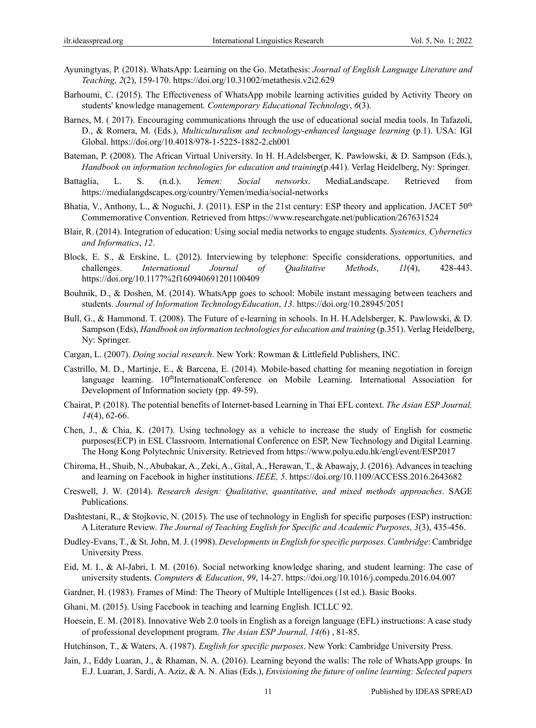- Ayuningtyas, P. (2018). WhatsApp: Learning on the Go. Metathesis: *Journal of English Language Literature and Teaching, 2*(2), 159-170. https://doi.org/10.31002/metathesis.v2i2.629
- Barhoumi, C. (2015). The Effectiveness of WhatsApp mobile learning activities guided by Activity Theory on students' knowledge management*. Contemporary Educational Technology*, *6*(3).
- Barnes, M. ( 2017). Encouraging communications through the use of educational social media tools. In Tafazoli, D., & Romera, M. (Eds.), *Multiculturalism and technology-enhanced language learning* (p.1). USA: IGI Global. https://doi.org/10.4018/978-1-5225-1882-2.ch001
- Bateman, P. (2008). The African Virtual University. In H. H.Adelsberger, K. Pawlowski, & D. Sampson (Eds.), *Handbook on information technologies for education and training*(p.441). Verlag Heidelberg, Ny: Springer.
- Battaglia, L. S. (n.d.). *Yemen: Social networks*. MediaLandscape. Retrieved from https://medialangdscapes.org/country/Yemen/media/social-networks
- Bhatia, V., Anthony, L., & Noguchi, J. (2011). ESP in the 21st century: ESP theory and application. JACET 50<sup>th</sup> Commemorative Convention. Retrieved from https://www.researchgate.net/publication/267631524
- Blair, R. (2014). Integration of education: Using social media networks to engage students. *Systemics, Cybernetics and Informatics*, *12*.
- Block, E. S., & Erskine, L. (2012). Interviewing by telephone: Specific considerations, opportunities, and challenges. *International Journal of Qualitative Methods*, *11*(4), 428-443. https://doi.org/10.1177%2f160940691201100409
- Bouhnik, D., & Doshen, M. (2014). WhatsApp goes to school: Mobile instant messaging between teachers and students. *Journal of Information TechnologyEducation*, *13*. https://doi.org/10.28945/2051
- Bull, G., & Hammond. T. (2008). The Future of e-learning in schools. In H. H.Adelsberger, K. Pawlowski, & D. Sampson (Eds), *Handbook on information technologies for education and training* (p.351). Verlag Heidelberg, Ny: Springer.
- Cargan, L. (2007). *Doing social research*. New York: Rowman & Littlefield Publishers, INC.
- Castrillo, M. D., Martinje, E., & Barcena, E. (2014). Mobile-based chatting for meaning negotiation in foreign language learning. 10<sup>th</sup>InternationalConference on Mobile Learning. International Association for Development of Information society (pp. 49-59).
- Chairat, P. (2018). The potential benefits of Internet-based Learning in Thai EFL context. *The Asian ESP Journal, 14*(4), 62-66.
- Chen, J., & Chia, K. (2017). Using technology as a vehicle to increase the study of English for cosmetic purposes(ECP) in ESL Classroom. International Conference on ESP, New Technology and Digital Learning. The Hong Kong Polytechnic University. Retrieved from https://www.polyu.edu.hk/engl/event/ESP2017
- Chiroma, H., Shuib, N., Abubakar, A., Zeki, A., Gital, A., Herawan, T., & Abawajy, J. (2016). Advances in teaching and learning on Facebook in higher institutions. *IEEE, 5*. https://doi.org/10.1109/ACCESS.2016.2643682
- Creswell, J. W. (2014). *Research design: Qualitative, quantitative, and mixed methods approaches*. SAGE Publications.
- Dashtestani, R., & Stojkovic, N. (2015). The use of technology in English for specific purposes (ESP) instruction: A Literature Review. *The Journal of Teaching English for Specific and Academic Purposes*, *3*(3), 435-456.
- Dudley-Evans, T., & St. John, M. J. (1998). *Developments in English for specific purposes. Cambridge*: Cambridge University Press.
- Eid, M. I., & Al-Jabri, I. M. (2016). Social networking knowledge sharing, and student learning: The case of university students. *Computers & Education*, *99*, 14-27. https://doi.org/10.1016/j.compedu.2016.04.007
- Gardner, H. (1983). Frames of Mind: The Theory of Multiple Intelligences (1st ed.). Basic Books.
- Ghani, M. (2015). Using Facebook in teaching and learning English. ICLLC 92.
- Hoesein, E. M. (2018). Innovative Web 2.0 tools in English as a foreign language (EFL) instructions: A case study of professional development program. *The Asian ESP Journal, 14(*6) , 81-85.
- Hutchinson, T., & Waters, A. (1987). *English for specific purposes*. New York: Cambridge University Press.
- Jain, J., Eddy Luaran, J., & Rhaman, N. A. (2016). Learning beyond the walls: The role of WhatsApp groups. In E.J. Luaran, J. Sardi, A. Aziz, & A. N. Alias (Eds.), *Envisioning the future of online learning: Selected papers*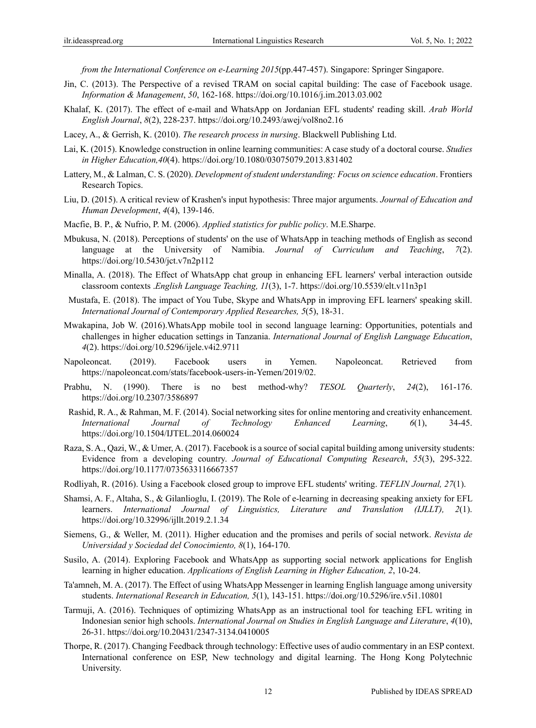*from the International Conference on e-Learning 2015*(pp.447-457). Singapore: Springer Singapore.

- Jin, C. (2013). The Perspective of a revised TRAM on social capital building: The case of Facebook usage. *Information & Management*, *50*, 162-168. https://doi.org/10.1016/j.im.2013.03.002
- Khalaf, K. (2017). The effect of e-mail and WhatsApp on Jordanian EFL students' reading skill. *Arab World English Journal*, *8*(2), 228-237. https://doi.org/10.2493/awej/vol8no2.16
- Lacey, A., & Gerrish, K. (2010). *The research process in nursing*. Blackwell Publishing Ltd.
- Lai, K. (2015). Knowledge construction in online learning communities: A case study of a doctoral course. *Studies in Higher Education,40*(4). https://doi.org/10.1080/03075079.2013.831402
- Lattery, M., & Lalman, C. S. (2020). *Development of student understanding: Focus on science education*. Frontiers Research Topics.
- Liu, D. (2015). A critical review of Krashen's input hypothesis: Three major arguments. *Journal of Education and Human Development*, *4*(4), 139-146.
- Macfie, B. P., & Nufrio, P. M. (2006). *Applied statistics for public policy*. M.E.Sharpe.
- Mbukusa, N. (2018). Perceptions of students' on the use of WhatsApp in teaching methods of English as second language at the University of Namibia. *Journal of Curriculum and Teaching*, *7*(2). https://doi.org/10.5430/jct.v7n2p112
- Minalla, A. (2018). The Effect of WhatsApp chat group in enhancing EFL learners' verbal interaction outside classroom contexts .*English Language Teaching, 11*(3), 1-7. https://doi.org/10.5539/elt.v11n3p1
- Mustafa, E. (2018). The impact of You Tube, Skype and WhatsApp in improving EFL learners' speaking skill. *International Journal of Contemporary Applied Researches, 5*(5), 18-31.
- Mwakapina, Job W. (2016).WhatsApp mobile tool in second language learning: Opportunities, potentials and challenges in higher education settings in Tanzania. *International Journal of English Language Education*, *4*(2). https://doi.org/10.5296/ijele.v4i2.9711
- Napoleoncat. (2019). Facebook users in Yemen. Napoleoncat. Retrieved from https://napoleoncat.com/stats/facebook-users-in-Yemen/2019/02.
- Prabhu, N. (1990). There is no best method-why? *TESOL Quarterly*, *24*(2), 161-176. https://doi.org/10.2307/3586897
- Rashid, R. A., & Rahman, M. F. (2014). Social networking sites for online mentoring and creativity enhancement. *International Journal of Technology Enhanced Learning*, *6*(1), 34-45. https://doi.org/10.1504/IJTEL.2014.060024
- Raza, S. A., Qazi, W., & Umer, A. (2017). Facebook is a source of social capital building among university students: Evidence from a developing country. *Journal of Educational Computing Research*, *55*(3), 295-322. https://doi.org/10.1177/0735633116667357
- Rodliyah, R. (2016). Using a Facebook closed group to improve EFL students' writing. *TEFLIN Journal, 27*(1).
- Shamsi, A. F., Altaha, S., & Gilanlioglu, I. (2019). The Role of e-learning in decreasing speaking anxiety for EFL learners. *International Journal of Linguistics, Literature and Translation (IJLLT), 2*(1). https://doi.org/10.32996/ijllt.2019.2.1.34
- Siemens, G., & Weller, M. (2011). Higher education and the promises and perils of social network. *Revista de Universidad y Sociedad del Conocimiento, 8*(1), 164-170.
- Susilo, A. (2014). Exploring Facebook and WhatsApp as supporting social network applications for English learning in higher education. *Applications of English Learning in Higher Education, 2*, 10-24.
- Ta'amneh, M. A. (2017). The Effect of using WhatsApp Messenger in learning English language among university students. *International Research in Education, 5*(1), 143-151. https://doi.org/10.5296/ire.v5i1.10801
- Tarmuji, A. (2016). Techniques of optimizing WhatsApp as an instructional tool for teaching EFL writing in Indonesian senior high schools. *International Journal on Studies in English Language and Literature*, *4*(10), 26-31. https://doi.org/10.20431/2347-3134.0410005
- Thorpe, R. (2017). Changing Feedback through technology: Effective uses of audio commentary in an ESP context. International conference on ESP, New technology and digital learning. The Hong Kong Polytechnic University.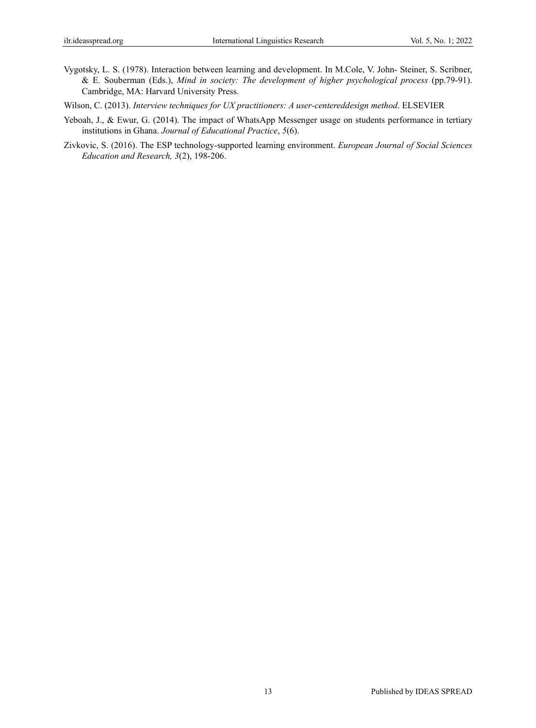- Vygotsky, L. S. (1978). Interaction between learning and development. In M.Cole, V. John- Steiner, S. Scribner, & E. Souberman (Eds.), *Mind in society: The development of higher psychological process* (pp.79-91). Cambridge, MA: Harvard University Press.
- Wilson, C. (2013). *Interview techniques for UX practitioners: A user-centereddesign method*. ELSEVIER
- Yeboah, J., & Ewur, G. (2014). The impact of WhatsApp Messenger usage on students performance in tertiary institutions in Ghana. *Journal of Educational Practice*, *5*(6).
- Zivkovic, S. (2016). The ESP technology-supported learning environment. *European Journal of Social Sciences Education and Research, 3*(2), 198-206.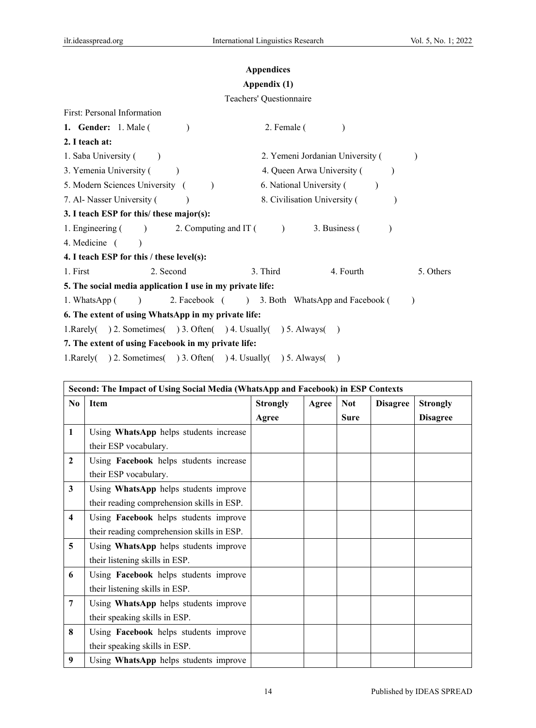# **Appendices**

# **Appendix (1)**

# Teachers' Questionnaire

| First: Personal Information                                       |                                                 |
|-------------------------------------------------------------------|-------------------------------------------------|
| <b>1. Gender:</b> 1. Male (                                       | 2. Female (                                     |
| 2. I teach at:                                                    |                                                 |
| 1. Saba University (                                              | 2. Yemeni Jordanian University (                |
| 3. Yemenia University (                                           | 4. Queen Arwa University (                      |
| 5. Modern Sciences University (                                   | 6. National University (                        |
| 7. Al- Nasser University (                                        | 8. Civilisation University (                    |
| 3. I teach ESP for this/ these major(s):                          |                                                 |
| 1. Engineering ( ) 2. Computing and IT ( ) 3. Business (          |                                                 |
| 4. Medicine (                                                     |                                                 |
| 4. I teach ESP for this / these level(s):                         |                                                 |
| 1. First<br>2. Second                                             | 3. Third<br>4. Fourth<br>5. Others              |
| 5. The social media application I use in my private life:         |                                                 |
| 1. WhatsApp (<br>$\left( \begin{array}{cc} \end{array} \right)$   | 2. Facebook ( ) 3. Both WhatsApp and Facebook ( |
| 6. The extent of using WhatsApp in my private life:               |                                                 |
| 1. Rarely() 2. Sometimes() 3. Often() 4. Usually() 5. Always()    |                                                 |
| 7. The extent of using Facebook in my private life:               |                                                 |
| 1. Rarely( ) 2. Sometimes( ) 3. Often( ) 4. Usually( ) 5. Always( |                                                 |

|                         | Second: The Impact of Using Social Media (WhatsApp and Facebook) in ESP Contexts |                 |       |             |                 |                 |
|-------------------------|----------------------------------------------------------------------------------|-----------------|-------|-------------|-----------------|-----------------|
| N <sub>0</sub>          | <b>Item</b>                                                                      | <b>Strongly</b> | Agree | <b>Not</b>  | <b>Disagree</b> | <b>Strongly</b> |
|                         |                                                                                  | Agree           |       | <b>Sure</b> |                 | <b>Disagree</b> |
| $\mathbf{1}$            | Using WhatsApp helps students increase                                           |                 |       |             |                 |                 |
|                         | their ESP vocabulary.                                                            |                 |       |             |                 |                 |
| $\mathbf{2}$            | Using Facebook helps students increase                                           |                 |       |             |                 |                 |
|                         | their ESP vocabulary.                                                            |                 |       |             |                 |                 |
| 3                       | Using WhatsApp helps students improve                                            |                 |       |             |                 |                 |
|                         | their reading comprehension skills in ESP.                                       |                 |       |             |                 |                 |
| $\overline{\mathbf{4}}$ | Using Facebook helps students improve                                            |                 |       |             |                 |                 |
|                         | their reading comprehension skills in ESP.                                       |                 |       |             |                 |                 |
| 5                       | Using WhatsApp helps students improve                                            |                 |       |             |                 |                 |
|                         | their listening skills in ESP.                                                   |                 |       |             |                 |                 |
| 6                       | Using Facebook helps students improve                                            |                 |       |             |                 |                 |
|                         | their listening skills in ESP.                                                   |                 |       |             |                 |                 |
| 7                       | Using WhatsApp helps students improve                                            |                 |       |             |                 |                 |
|                         | their speaking skills in ESP.                                                    |                 |       |             |                 |                 |
| 8                       | Using Facebook helps students improve                                            |                 |       |             |                 |                 |
|                         | their speaking skills in ESP.                                                    |                 |       |             |                 |                 |
| 9                       | Using WhatsApp helps students improve                                            |                 |       |             |                 |                 |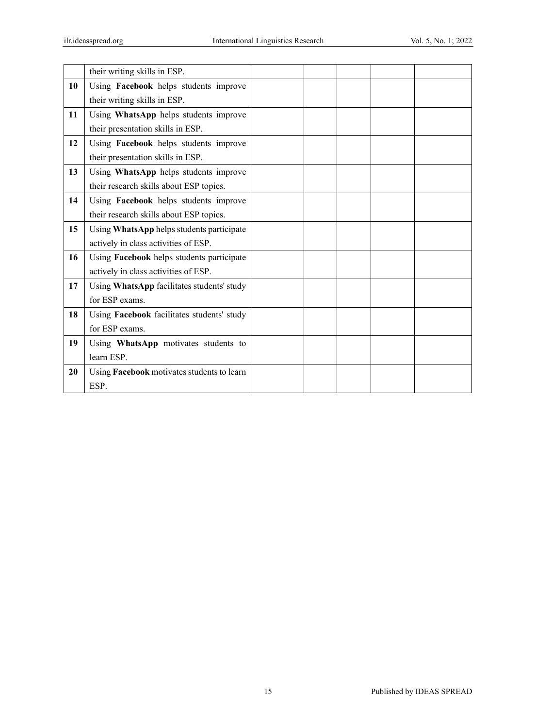|    | their writing skills in ESP.               |  |  |  |
|----|--------------------------------------------|--|--|--|
| 10 | Using Facebook helps students improve      |  |  |  |
|    | their writing skills in ESP.               |  |  |  |
| 11 | Using WhatsApp helps students improve      |  |  |  |
|    | their presentation skills in ESP.          |  |  |  |
| 12 | Using Facebook helps students improve      |  |  |  |
|    | their presentation skills in ESP.          |  |  |  |
| 13 | Using WhatsApp helps students improve      |  |  |  |
|    | their research skills about ESP topics.    |  |  |  |
| 14 | Using Facebook helps students improve      |  |  |  |
|    | their research skills about ESP topics.    |  |  |  |
| 15 | Using WhatsApp helps students participate  |  |  |  |
|    | actively in class activities of ESP.       |  |  |  |
| 16 | Using Facebook helps students participate  |  |  |  |
|    | actively in class activities of ESP.       |  |  |  |
| 17 | Using WhatsApp facilitates students' study |  |  |  |
|    | for ESP exams.                             |  |  |  |
| 18 | Using Facebook facilitates students' study |  |  |  |
|    | for ESP exams.                             |  |  |  |
| 19 | Using WhatsApp motivates students to       |  |  |  |
|    | learn ESP.                                 |  |  |  |
| 20 | Using Facebook motivates students to learn |  |  |  |
|    | ESP.                                       |  |  |  |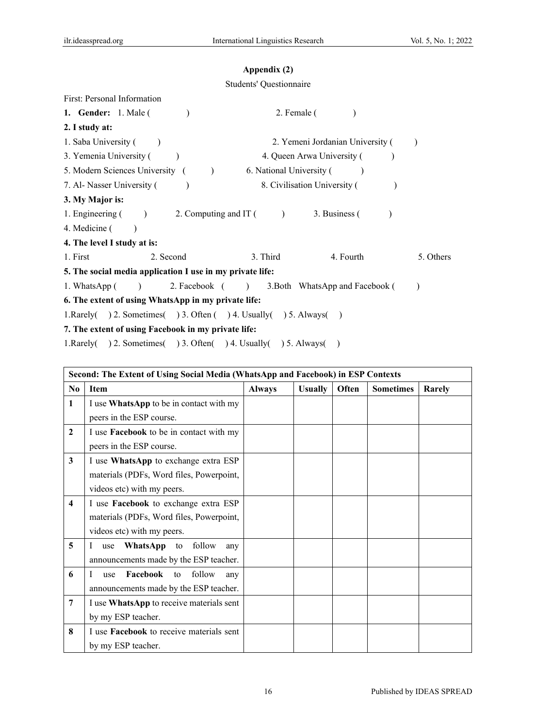### **Appendix (2)**

#### Students' Questionnaire

First: Personal Information

| 1. Gender: $1.$ Male (                                               | 2. Female (                      |           |
|----------------------------------------------------------------------|----------------------------------|-----------|
| 2. I study at:                                                       |                                  |           |
| 1. Saba University (                                                 | 2. Yemeni Jordanian University ( |           |
| 3. Yemenia University (                                              | 4. Queen Arwa University (       |           |
| 5. Modern Sciences University (                                      | 6. National University (         |           |
| 7. Al- Nasser University (                                           | 8. Civilisation University (     |           |
| 3. My Major is:                                                      |                                  |           |
| 2. Computing and IT $($<br>1. Engineering $($                        | 3. Business (                    |           |
| 4. Medicine (                                                        |                                  |           |
| 4. The level I study at is:                                          |                                  |           |
| 2. Second<br>1. First                                                | 3. Third<br>4. Fourth            | 5. Others |
| 5. The social media application I use in my private life:            |                                  |           |
| 2. Facebook ( )<br>1. WhatsApp (<br>$\overline{\phantom{a}}$         | 3. Both WhatsApp and Facebook (  |           |
| 6. The extent of using WhatsApp in my private life:                  |                                  |           |
| 1. Rarely( ) 2. Sometimes( ) 3. Often ( ) 4. Usually( ) 5. Always( ) |                                  |           |
| 7. The extent of using Facebook in my private life:                  |                                  |           |

1.Rarely( ) 2. Sometimes( ) 3. Often( ) 4. Usually( ) 5. Always( )

| Second: The Extent of Using Social Media (WhatsApp and Facebook) in ESP Contexts |                                                 |               |                |       |                  |        |
|----------------------------------------------------------------------------------|-------------------------------------------------|---------------|----------------|-------|------------------|--------|
| $\bf No$                                                                         | <b>Item</b>                                     | <b>Always</b> | <b>Usually</b> | Often | <b>Sometimes</b> | Rarely |
| 1                                                                                | I use WhatsApp to be in contact with my         |               |                |       |                  |        |
|                                                                                  | peers in the ESP course.                        |               |                |       |                  |        |
| $\mathbf{2}$                                                                     | I use <b>Facebook</b> to be in contact with my  |               |                |       |                  |        |
|                                                                                  | peers in the ESP course.                        |               |                |       |                  |        |
| 3                                                                                | I use WhatsApp to exchange extra ESP            |               |                |       |                  |        |
|                                                                                  | materials (PDFs, Word files, Powerpoint,        |               |                |       |                  |        |
|                                                                                  | videos etc) with my peers.                      |               |                |       |                  |        |
| $\overline{\mathbf{4}}$                                                          | I use Facebook to exchange extra ESP            |               |                |       |                  |        |
|                                                                                  | materials (PDFs, Word files, Powerpoint,        |               |                |       |                  |        |
|                                                                                  | videos etc) with my peers.                      |               |                |       |                  |        |
| 5                                                                                | <b>WhatsApp</b> to follow<br>Ι<br>use<br>any    |               |                |       |                  |        |
|                                                                                  | announcements made by the ESP teacher.          |               |                |       |                  |        |
| 6                                                                                | <b>Facebook</b> to<br>follow<br>I<br>use<br>any |               |                |       |                  |        |
|                                                                                  | announcements made by the ESP teacher.          |               |                |       |                  |        |
| 7                                                                                | I use WhatsApp to receive materials sent        |               |                |       |                  |        |
|                                                                                  | by my ESP teacher.                              |               |                |       |                  |        |
| 8                                                                                | I use <b>Facebook</b> to receive materials sent |               |                |       |                  |        |
|                                                                                  | by my ESP teacher.                              |               |                |       |                  |        |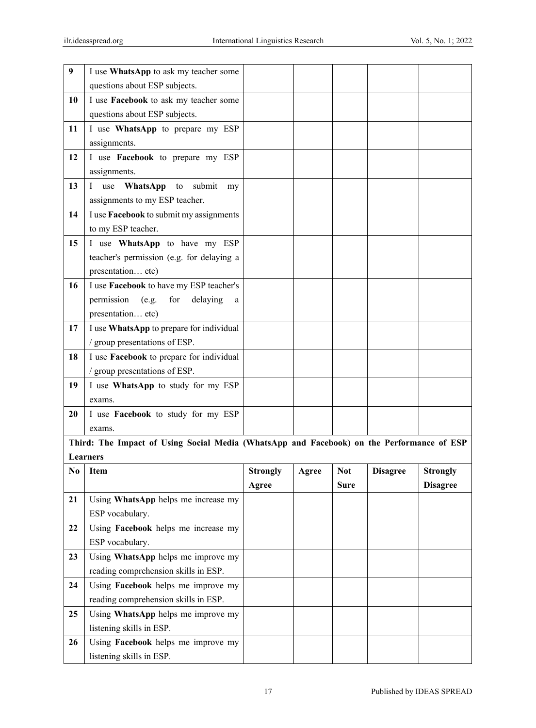| 9  | I use WhatsApp to ask my teacher some                                                     |                 |       |             |                 |                 |
|----|-------------------------------------------------------------------------------------------|-----------------|-------|-------------|-----------------|-----------------|
|    | questions about ESP subjects.                                                             |                 |       |             |                 |                 |
| 10 | I use Facebook to ask my teacher some                                                     |                 |       |             |                 |                 |
|    | questions about ESP subjects.                                                             |                 |       |             |                 |                 |
| 11 | I use WhatsApp to prepare my ESP                                                          |                 |       |             |                 |                 |
|    | assignments.                                                                              |                 |       |             |                 |                 |
| 12 | I use Facebook to prepare my ESP                                                          |                 |       |             |                 |                 |
|    | assignments.                                                                              |                 |       |             |                 |                 |
| 13 | submit<br>WhatsApp<br>to<br>I use<br>my                                                   |                 |       |             |                 |                 |
|    | assignments to my ESP teacher.                                                            |                 |       |             |                 |                 |
| 14 | I use Facebook to submit my assignments                                                   |                 |       |             |                 |                 |
|    | to my ESP teacher.                                                                        |                 |       |             |                 |                 |
| 15 | I use WhatsApp to have my ESP                                                             |                 |       |             |                 |                 |
|    | teacher's permission (e.g. for delaying a                                                 |                 |       |             |                 |                 |
|    | presentation etc)                                                                         |                 |       |             |                 |                 |
| 16 | I use Facebook to have my ESP teacher's                                                   |                 |       |             |                 |                 |
|    | permission<br>delaying<br>(e.g.<br>for<br>a                                               |                 |       |             |                 |                 |
|    | presentation etc)                                                                         |                 |       |             |                 |                 |
| 17 | I use WhatsApp to prepare for individual                                                  |                 |       |             |                 |                 |
|    | / group presentations of ESP.                                                             |                 |       |             |                 |                 |
| 18 | I use Facebook to prepare for individual                                                  |                 |       |             |                 |                 |
|    | / group presentations of ESP.                                                             |                 |       |             |                 |                 |
| 19 | I use WhatsApp to study for my ESP                                                        |                 |       |             |                 |                 |
|    | exams.                                                                                    |                 |       |             |                 |                 |
| 20 | I use Facebook to study for my ESP                                                        |                 |       |             |                 |                 |
|    | exams.                                                                                    |                 |       |             |                 |                 |
|    | Third: The Impact of Using Social Media (WhatsApp and Facebook) on the Performance of ESP |                 |       |             |                 |                 |
|    | <b>Learners</b>                                                                           |                 |       |             |                 |                 |
| No | Item                                                                                      | <b>Strongly</b> | Agree | <b>Not</b>  | <b>Disagree</b> | <b>Strongly</b> |
|    |                                                                                           |                 |       |             |                 | <b>Disagree</b> |
| 21 |                                                                                           | Agree           |       | <b>Sure</b> |                 |                 |
|    | Using WhatsApp helps me increase my                                                       |                 |       |             |                 |                 |
|    | ESP vocabulary.                                                                           |                 |       |             |                 |                 |
| 22 | Using Facebook helps me increase my                                                       |                 |       |             |                 |                 |
|    | ESP vocabulary.                                                                           |                 |       |             |                 |                 |
| 23 | Using WhatsApp helps me improve my                                                        |                 |       |             |                 |                 |
|    | reading comprehension skills in ESP.                                                      |                 |       |             |                 |                 |
| 24 | Using Facebook helps me improve my                                                        |                 |       |             |                 |                 |
|    | reading comprehension skills in ESP.                                                      |                 |       |             |                 |                 |
| 25 | Using WhatsApp helps me improve my                                                        |                 |       |             |                 |                 |
|    | listening skills in ESP.                                                                  |                 |       |             |                 |                 |
| 26 | Using Facebook helps me improve my<br>listening skills in ESP.                            |                 |       |             |                 |                 |